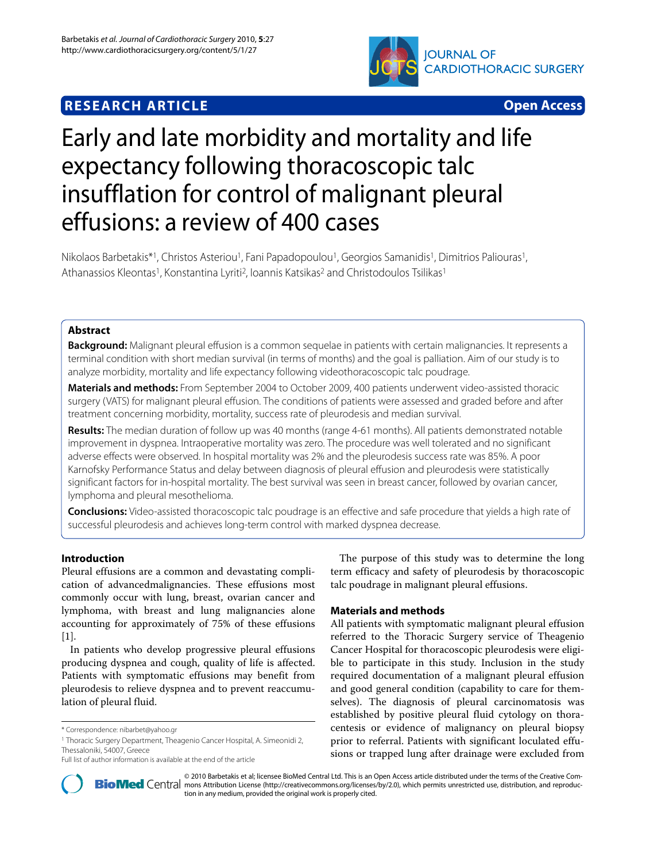# **RESEARCH ARTICLE Open Access**



# Early and late morbidity and mortality and life expectancy following thoracoscopic talc insufflation for control of malignant pleural effusions: a review of 400 cases

Nikolaos Barbetakis\*1, Christos Asteriou<sup>1</sup>, Fani Papadopoulou<sup>1</sup>, Georgios Samanidis<sup>1</sup>, Dimitrios Paliouras<sup>1</sup>, Athanassios Kleontas<sup>1</sup>, Konstantina Lyriti<sup>2</sup>, Ioannis Katsikas<sup>2</sup> and Christodoulos Tsilikas<sup>1</sup>

# **Abstract**

**Background:** Malignant pleural effusion is a common sequelae in patients with certain malignancies. It represents a terminal condition with short median survival (in terms of months) and the goal is palliation. Aim of our study is to analyze morbidity, mortality and life expectancy following videothoracoscopic talc poudrage.

**Materials and methods:** From September 2004 to October 2009, 400 patients underwent video-assisted thoracic surgery (VATS) for malignant pleural effusion. The conditions of patients were assessed and graded before and after treatment concerning morbidity, mortality, success rate of pleurodesis and median survival.

**Results:** The median duration of follow up was 40 months (range 4-61 months). All patients demonstrated notable improvement in dyspnea. Intraoperative mortality was zero. The procedure was well tolerated and no significant adverse effects were observed. In hospital mortality was 2% and the pleurodesis success rate was 85%. A poor Karnofsky Performance Status and delay between diagnosis of pleural effusion and pleurodesis were statistically significant factors for in-hospital mortality. The best survival was seen in breast cancer, followed by ovarian cancer, lymphoma and pleural mesothelioma.

**Conclusions:** Video-assisted thoracoscopic talc poudrage is an effective and safe procedure that yields a high rate of successful pleurodesis and achieves long-term control with marked dyspnea decrease.

# **Introduction**

Pleural effusions are a common and devastating complication of advancedmalignancies. These effusions most commonly occur with lung, breast, ovarian cancer and lymphoma, with breast and lung malignancies alone accounting for approximately of 75% of these effusions [[1\]](#page-5-0).

In patients who develop progressive pleural effusions producing dyspnea and cough, quality of life is affected. Patients with symptomatic effusions may benefit from pleurodesis to relieve dyspnea and to prevent reaccumulation of pleural fluid.

1 Thoracic Surgery Department, Theagenio Cancer Hospital, A. Simeonidi 2, Thessaloniki, 54007, Greece

The purpose of this study was to determine the long term efficacy and safety of pleurodesis by thoracoscopic talc poudrage in malignant pleural effusions.

# **Materials and methods**

All patients with symptomatic malignant pleural effusion referred to the Thoracic Surgery service of Theagenio Cancer Hospital for thoracoscopic pleurodesis were eligible to participate in this study. Inclusion in the study required documentation of a malignant pleural effusion and good general condition (capability to care for themselves). The diagnosis of pleural carcinomatosis was established by positive pleural fluid cytology on thoracentesis or evidence of malignancy on pleural biopsy prior to referral. Patients with significant loculated effusions or trapped lung after drainage were excluded from



© 2010 Barbetakis et al; licensee [BioMed](http://www.biomedcentral.com/) Central Ltd. This is an Open Access article distributed under the terms of the Creative Com-<br>-Bio Med Central mons Attribution License (http://creativecommons.org/licenses/by/2.0), tion in any medium, provided the original work is properly cited.

<sup>\*</sup> Correspondence: nibarbet@yahoo.gr

Full list of author information is available at the end of the article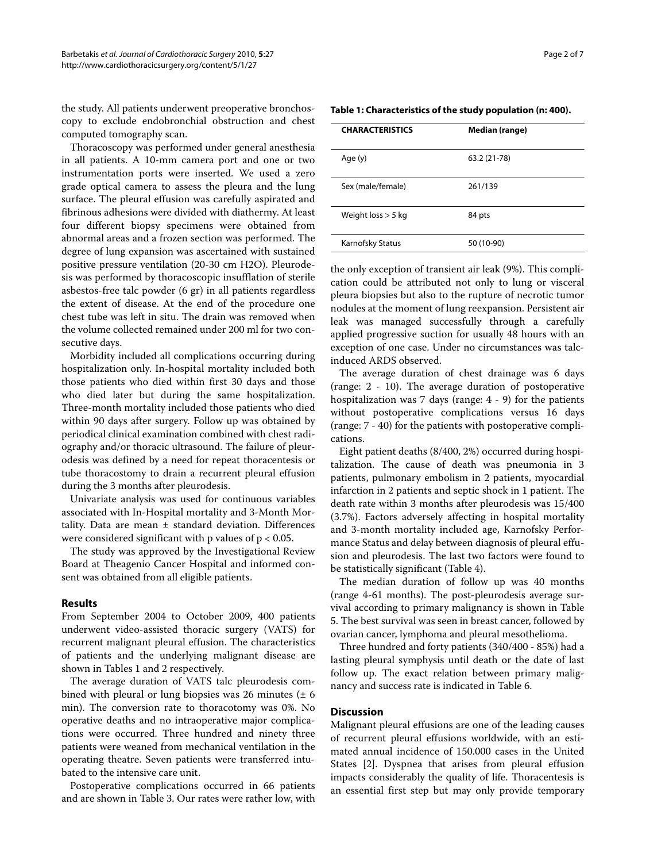the study. All patients underwent preoperative bronchoscopy to exclude endobronchial obstruction and chest computed tomography scan.

Thoracoscopy was performed under general anesthesia in all patients. A 10-mm camera port and one or two instrumentation ports were inserted. We used a zero grade optical camera to assess the pleura and the lung surface. The pleural effusion was carefully aspirated and fibrinous adhesions were divided with diathermy. At least four different biopsy specimens were obtained from abnormal areas and a frozen section was performed. The degree of lung expansion was ascertained with sustained positive pressure ventilation (20-30 cm H2O). Pleurodesis was performed by thoracoscopic insufflation of sterile asbestos-free talc powder (6 gr) in all patients regardless the extent of disease. At the end of the procedure one chest tube was left in situ. The drain was removed when the volume collected remained under 200 ml for two consecutive days.

Morbidity included all complications occurring during hospitalization only. In-hospital mortality included both those patients who died within first 30 days and those who died later but during the same hospitalization. Three-month mortality included those patients who died within 90 days after surgery. Follow up was obtained by periodical clinical examination combined with chest radiography and/or thoracic ultrasound. The failure of pleurodesis was defined by a need for repeat thoracentesis or tube thoracostomy to drain a recurrent pleural effusion during the 3 months after pleurodesis.

Univariate analysis was used for continuous variables associated with In-Hospital mortality and 3-Month Mortality. Data are mean ± standard deviation. Differences were considered significant with p values of  $p < 0.05$ .

The study was approved by the Investigational Review Board at Theagenio Cancer Hospital and informed consent was obtained from all eligible patients.

#### **Results**

From September 2004 to October 2009, 400 patients underwent video-assisted thoracic surgery (VATS) for recurrent malignant pleural effusion. The characteristics of patients and the underlying malignant disease are shown in Tables [1](#page-1-0) and 2 respectively.

The average duration of VATS talc pleurodesis combined with pleural or lung biopsies was 26 minutes  $(\pm 6)$ min). The conversion rate to thoracotomy was 0%. No operative deaths and no intraoperative major complications were occurred. Three hundred and ninety three patients were weaned from mechanical ventilation in the operating theatre. Seven patients were transferred intubated to the intensive care unit.

Postoperative complications occurred in 66 patients and are shown in Table [3](#page-3-0). Our rates were rather low, with

<span id="page-1-0"></span>

| Table 1: Characteristics of the study population (n: 400). |  |
|------------------------------------------------------------|--|

| <b>CHARACTERISTICS</b> | Median (range) |
|------------------------|----------------|
| Age (y)                | 63.2 (21-78)   |
| Sex (male/female)      | 261/139        |
| Weight $loss > 5$ kg   | 84 pts         |
| Karnofsky Status       | 50 (10-90)     |

the only exception of transient air leak (9%). This complication could be attributed not only to lung or visceral pleura biopsies but also to the rupture of necrotic tumor nodules at the moment of lung reexpansion. Persistent air leak was managed successfully through a carefully applied progressive suction for usually 48 hours with an exception of one case. Under no circumstances was talcinduced ARDS observed.

The average duration of chest drainage was 6 days (range: 2 - 10). The average duration of postoperative hospitalization was 7 days (range: 4 - 9) for the patients without postoperative complications versus 16 days (range: 7 - 40) for the patients with postoperative complications.

Eight patient deaths (8/400, 2%) occurred during hospitalization. The cause of death was pneumonia in 3 patients, pulmonary embolism in 2 patients, myocardial infarction in 2 patients and septic shock in 1 patient. The death rate within 3 months after pleurodesis was 15/400 (3.7%). Factors adversely affecting in hospital mortality and 3-month mortality included age, Karnofsky Performance Status and delay between diagnosis of pleural effusion and pleurodesis. The last two factors were found to be statistically significant (Table [4](#page-3-1)).

The median duration of follow up was 40 months (range 4-61 months). The post-pleurodesis average survival according to primary malignancy is shown in Table 5. The best survival was seen in breast cancer, followed by ovarian cancer, lymphoma and pleural mesothelioma.

Three hundred and forty patients (340/400 - 85%) had a lasting pleural symphysis until death or the date of last follow up. The exact relation between primary malignancy and success rate is indicated in Table 6.

#### **Discussion**

Malignant pleural effusions are one of the leading causes of recurrent pleural effusions worldwide, with an estimated annual incidence of 150.000 cases in the United States [[2\]](#page-5-1). Dyspnea that arises from pleural effusion impacts considerably the quality of life. Thoracentesis is an essential first step but may only provide temporary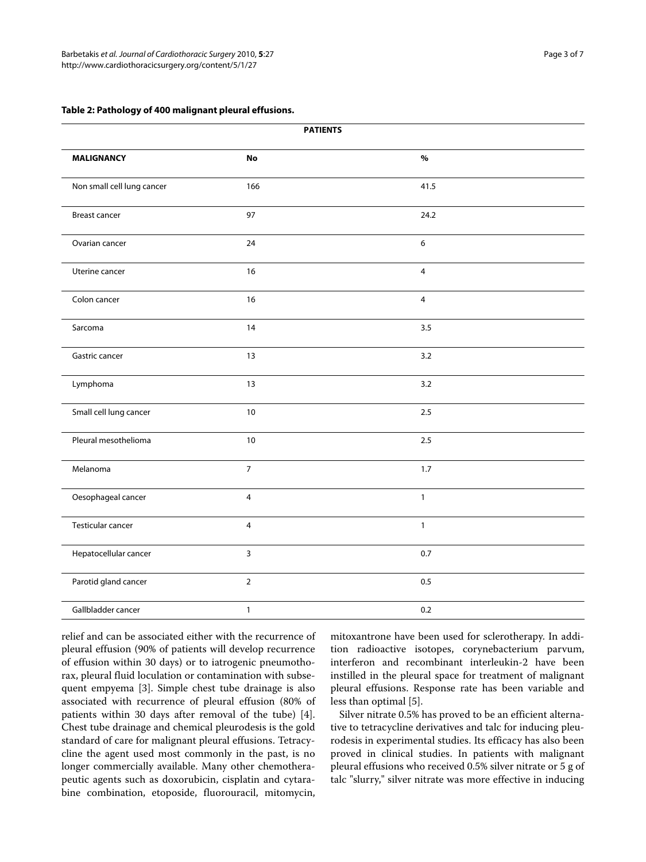#### **Table 2: Pathology of 400 malignant pleural effusions.**

|                            | <b>PATIENTS</b> |                |  |
|----------------------------|-----------------|----------------|--|
| <b>MALIGNANCY</b>          | <b>No</b>       | $\%$           |  |
| Non small cell lung cancer | 166             | 41.5           |  |
| <b>Breast cancer</b>       | 97              | 24.2           |  |
| Ovarian cancer             | 24              | 6              |  |
| Uterine cancer             | 16              | $\overline{4}$ |  |
| Colon cancer               | 16              | $\overline{4}$ |  |
| Sarcoma                    | 14              | 3.5            |  |
| Gastric cancer             | 13              | 3.2            |  |
| Lymphoma                   | 13              | 3.2            |  |
| Small cell lung cancer     | $10\,$          | $2.5\,$        |  |
| Pleural mesothelioma       | $10$            | 2.5            |  |
| Melanoma                   | $\overline{7}$  | 1.7            |  |
| Oesophageal cancer         | $\overline{4}$  | $\mathbf{1}$   |  |
| Testicular cancer          | $\overline{4}$  | $\mathbf{1}$   |  |
| Hepatocellular cancer      | 3               | 0.7            |  |
| Parotid gland cancer       | $\overline{2}$  | $0.5\,$        |  |
| Gallbladder cancer         | $\mathbf{1}$    | 0.2            |  |

relief and can be associated either with the recurrence of pleural effusion (90% of patients will develop recurrence of effusion within 30 days) or to iatrogenic pneumothorax, pleural fluid loculation or contamination with subsequent empyema [[3\]](#page-5-2). Simple chest tube drainage is also associated with recurrence of pleural effusion (80% of patients within 30 days after removal of the tube) [\[4](#page-5-3)]. Chest tube drainage and chemical pleurodesis is the gold standard of care for malignant pleural effusions. Tetracycline the agent used most commonly in the past, is no longer commercially available. Many other chemotherapeutic agents such as doxorubicin, cisplatin and cytarabine combination, etoposide, fluorouracil, mitomycin, mitoxantrone have been used for sclerotherapy. In addition radioactive isotopes, corynebacterium parvum, interferon and recombinant interleukin-2 have been instilled in the pleural space for treatment of malignant pleural effusions. Response rate has been variable and less than optimal [[5](#page-6-0)].

Silver nitrate 0.5% has proved to be an efficient alternative to tetracycline derivatives and talc for inducing pleurodesis in experimental studies. Its efficacy has also been proved in clinical studies. In patients with malignant pleural effusions who received 0.5% silver nitrate or 5 g of talc "slurry," silver nitrate was more effective in inducing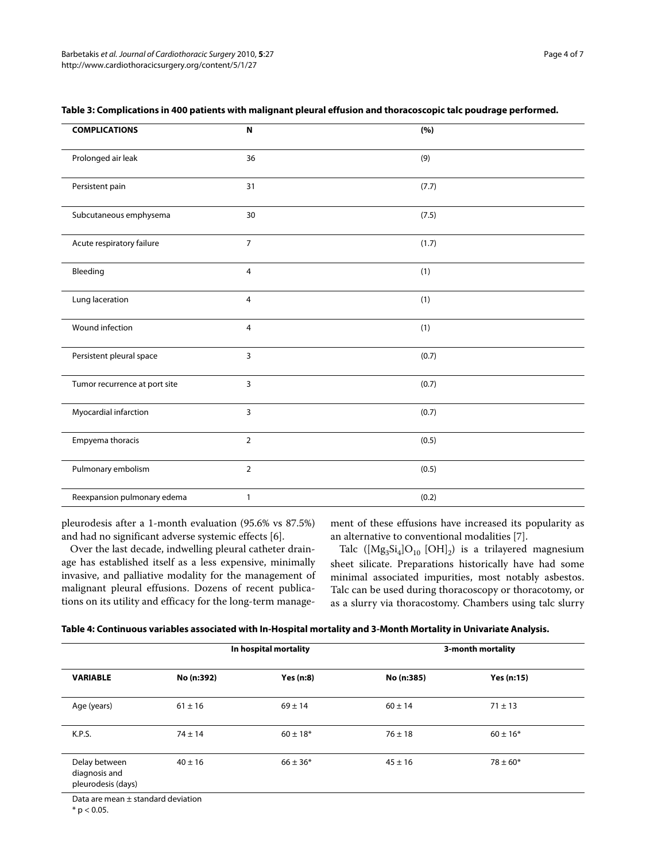| <b>COMPLICATIONS</b>          | N              | (%)   |
|-------------------------------|----------------|-------|
| Prolonged air leak            | 36             | (9)   |
| Persistent pain               | 31             | (7.7) |
| Subcutaneous emphysema        | 30             | (7.5) |
| Acute respiratory failure     | $\overline{7}$ | (1.7) |
| Bleeding                      | 4              | (1)   |
| Lung laceration               | $\overline{4}$ | (1)   |
| Wound infection               | 4              | (1)   |
| Persistent pleural space      | 3              | (0.7) |
| Tumor recurrence at port site | $\overline{3}$ | (0.7) |
| Myocardial infarction         | $\overline{3}$ | (0.7) |
| Empyema thoracis              | $\overline{2}$ | (0.5) |
| Pulmonary embolism            | $\overline{2}$ | (0.5) |
| Reexpansion pulmonary edema   | 1              | (0.2) |

### <span id="page-3-0"></span>**Table 3: Complications in 400 patients with malignant pleural effusion and thoracoscopic talc poudrage performed.**

pleurodesis after a 1-month evaluation (95.6% vs 87.5%) and had no significant adverse systemic effects [[6\]](#page-6-1).

ment of these effusions have increased its popularity as an alternative to conventional modalities [\[7](#page-6-2)].

Over the last decade, indwelling pleural catheter drainage has established itself as a less expensive, minimally invasive, and palliative modality for the management of malignant pleural effusions. Dozens of recent publications on its utility and efficacy for the long-term manage-

Talc  $([Mg_3Si_4]O_{10} [OH]_2)$  is a trilayered magnesium sheet silicate. Preparations historically have had some minimal associated impurities, most notably asbestos. Talc can be used during thoracoscopy or thoracotomy, or as a slurry via thoracostomy. Chambers using talc slurry

<span id="page-3-1"></span>

| Table 4: Continuous variables associated with In-Hospital mortality and 3-Month Mortality in Univariate Analysis. |  |  |
|-------------------------------------------------------------------------------------------------------------------|--|--|
|-------------------------------------------------------------------------------------------------------------------|--|--|

| No (n:392)<br><b>VARIABLE</b>                        |                  | In hospital mortality | 3-month mortality |              |
|------------------------------------------------------|------------------|-----------------------|-------------------|--------------|
|                                                      | <b>Yes (n:8)</b> | No (n:385)            | <b>Yes (n:15)</b> |              |
| Age (years)                                          | $61 \pm 16$      | $69 \pm 14$           | $60 \pm 14$       | $71 \pm 13$  |
| K.P.S.                                               | $74 \pm 14$      | $60 \pm 18*$          | $76 \pm 18$       | $60 \pm 16*$ |
| Delay between<br>diagnosis and<br>pleurodesis (days) | $40 \pm 16$      | $66 \pm 36*$          | $45 \pm 16$       | $78 \pm 60*$ |

Data are mean ± standard deviation

 $*$  p < 0.05.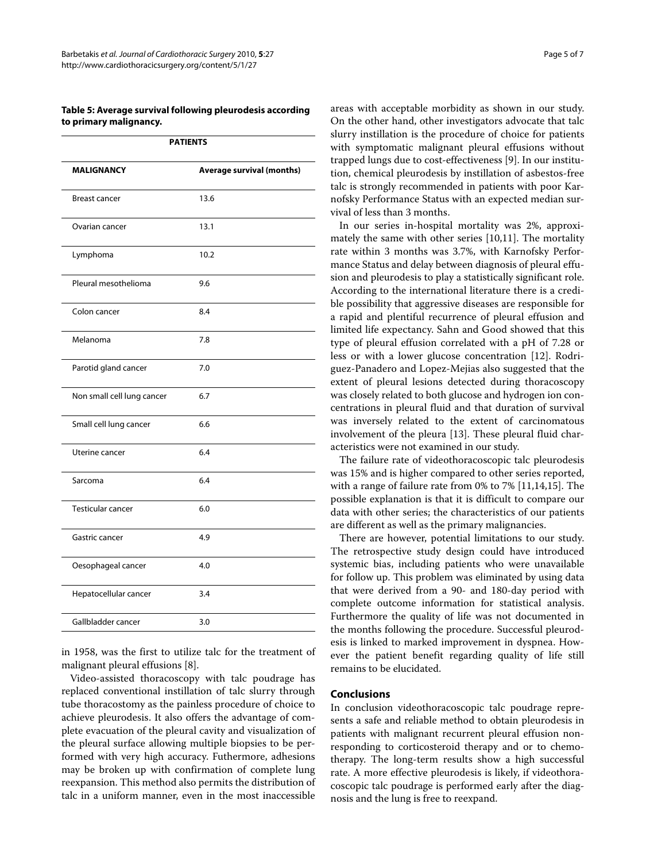# **Table 5: Average survival following pleurodesis according to primary malignancy.**

|                            | <b>PATIENTS</b>                  |
|----------------------------|----------------------------------|
| <b>MALIGNANCY</b>          | <b>Average survival (months)</b> |
| <b>Breast cancer</b>       | 13.6                             |
| Ovarian cancer             | 13.1                             |
| Lymphoma                   | 10.2                             |
| Pleural mesothelioma       | 9.6                              |
| Colon cancer               | 8.4                              |
| Melanoma                   | 7.8                              |
| Parotid gland cancer       | 7.0                              |
| Non small cell lung cancer | 6.7                              |
| Small cell lung cancer     | 6.6                              |
| Uterine cancer             | 6.4                              |
| Sarcoma                    | 6.4                              |
| Testicular cancer          | 6.0                              |
| Gastric cancer             | 4.9                              |
| Oesophageal cancer         | 4.0                              |
| Hepatocellular cancer      | 3.4                              |
| Gallbladder cancer         | 3.0                              |

in 1958, was the first to utilize talc for the treatment of malignant pleural effusions [\[8](#page-6-3)].

Video-assisted thoracoscopy with talc poudrage has replaced conventional instillation of talc slurry through tube thoracostomy as the painless procedure of choice to achieve pleurodesis. It also offers the advantage of complete evacuation of the pleural cavity and visualization of the pleural surface allowing multiple biopsies to be performed with very high accuracy. Futhermore, adhesions may be broken up with confirmation of complete lung reexpansion. This method also permits the distribution of talc in a uniform manner, even in the most inaccessible

areas with acceptable morbidity as shown in our study. On the other hand, other investigators advocate that talc slurry instillation is the procedure of choice for patients with symptomatic malignant pleural effusions without trapped lungs due to cost-effectiveness [\[9](#page-6-4)]. In our institution, chemical pleurodesis by instillation of asbestos-free talc is strongly recommended in patients with poor Karnofsky Performance Status with an expected median survival of less than 3 months.

In our series in-hospital mortality was 2%, approximately the same with other series [[10,](#page-6-5)[11\]](#page-6-6). The mortality rate within 3 months was 3.7%, with Karnofsky Performance Status and delay between diagnosis of pleural effusion and pleurodesis to play a statistically significant role. According to the international literature there is a credible possibility that aggressive diseases are responsible for a rapid and plentiful recurrence of pleural effusion and limited life expectancy. Sahn and Good showed that this type of pleural effusion correlated with a pH of 7.28 or less or with a lower glucose concentration [[12](#page-6-7)]. Rodriguez-Panadero and Lopez-Mejias also suggested that the extent of pleural lesions detected during thoracoscopy was closely related to both glucose and hydrogen ion concentrations in pleural fluid and that duration of survival was inversely related to the extent of carcinomatous involvement of the pleura [[13\]](#page-6-8). These pleural fluid characteristics were not examined in our study.

The failure rate of videothoracoscopic talc pleurodesis was 15% and is higher compared to other series reported, with a range of failure rate from 0% to 7% [\[11](#page-6-6)[,14](#page-6-9),[15](#page-6-10)]. The possible explanation is that it is difficult to compare our data with other series; the characteristics of our patients are different as well as the primary malignancies.

There are however, potential limitations to our study. The retrospective study design could have introduced systemic bias, including patients who were unavailable for follow up. This problem was eliminated by using data that were derived from a 90- and 180-day period with complete outcome information for statistical analysis. Furthermore the quality of life was not documented in the months following the procedure. Successful pleurodesis is linked to marked improvement in dyspnea. However the patient benefit regarding quality of life still remains to be elucidated.

#### **Conclusions**

In conclusion videothoracoscopic talc poudrage represents a safe and reliable method to obtain pleurodesis in patients with malignant recurrent pleural effusion nonresponding to corticosteroid therapy and or to chemotherapy. The long-term results show a high successful rate. A more effective pleurodesis is likely, if videothoracoscopic talc poudrage is performed early after the diagnosis and the lung is free to reexpand.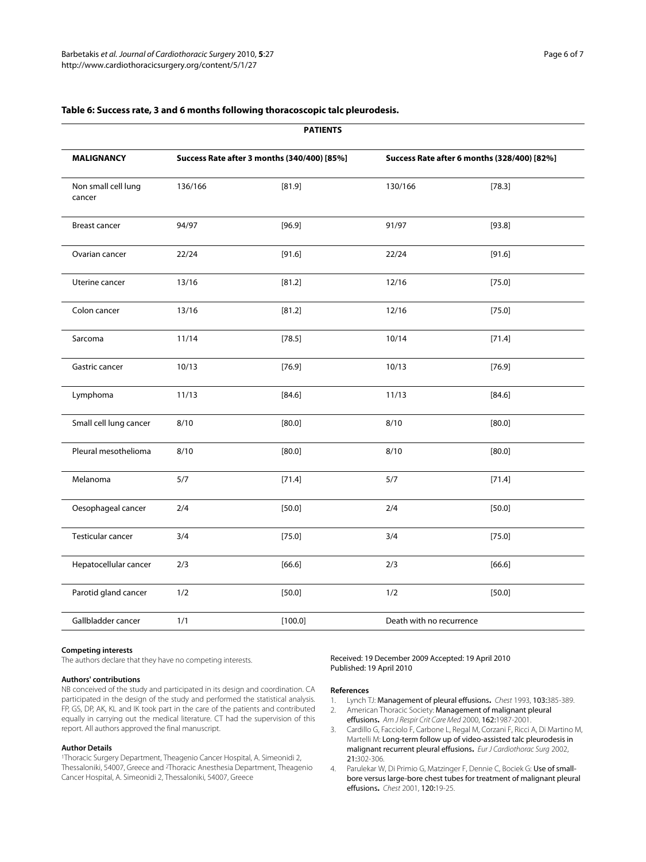| <b>PAILENIS</b>               |                                             |         |                                             |          |
|-------------------------------|---------------------------------------------|---------|---------------------------------------------|----------|
| <b>MALIGNANCY</b>             | Success Rate after 3 months (340/400) [85%] |         | Success Rate after 6 months (328/400) [82%] |          |
| Non small cell lung<br>cancer | 136/166                                     | [81.9]  | 130/166                                     | [78.3]   |
| <b>Breast cancer</b>          | 94/97                                       | [96.9]  | 91/97                                       | [93.8]   |
| Ovarian cancer                | 22/24                                       | [91.6]  | 22/24                                       | [91.6]   |
| Uterine cancer                | 13/16                                       | [81.2]  | 12/16                                       | [75.0]   |
| Colon cancer                  | 13/16                                       | [81.2]  | 12/16                                       | [75.0]   |
| Sarcoma                       | 11/14                                       | [78.5]  | 10/14                                       | [71.4]   |
| Gastric cancer                | 10/13                                       | [76.9]  | 10/13                                       | [76.9]   |
| Lymphoma                      | 11/13                                       | [84.6]  | 11/13                                       | [84.6]   |
| Small cell lung cancer        | 8/10                                        | [80.0]  | 8/10                                        | [80.0]   |
| Pleural mesothelioma          | 8/10                                        | [80.0]  | 8/10                                        | [80.0]   |
| Melanoma                      | 5/7                                         | [71.4]  | 5/7                                         | [71.4]   |
| Oesophageal cancer            | 2/4                                         | [50.0]  | 2/4                                         | [50.0]   |
| Testicular cancer             | 3/4                                         | [75.0]  | 3/4                                         | $[75.0]$ |
| Hepatocellular cancer         | 2/3                                         | [66.6]  | 2/3                                         | [66.6]   |
| Parotid gland cancer          | 1/2                                         | [50.0]  | 1/2                                         | [50.0]   |
| Gallbladder cancer            | 1/1                                         | [100.0] | Death with no recurrence                    |          |

**PATIENTS**

# **Table 6: Success rate, 3 and 6 months following thoracoscopic talc pleurodesis.**

#### **Competing interests**

The authors declare that they have no competing interests.

#### **Authors' contributions**

NB conceived of the study and participated in its design and coordination. CA participated in the design of the study and performed the statistical analysis. FP, GS, DP, AK, KL and IK took part in the care of the patients and contributed equally in carrying out the medical literature. CT had the supervision of this report. All authors approved the final manuscript.

#### **Author Details**

1Thoracic Surgery Department, Theagenio Cancer Hospital, A. Simeonidi 2, Thessaloniki, 54007, Greece and 2Thoracic Anesthesia Department, Theagenio Cancer Hospital, A. Simeonidi 2, Thessaloniki, 54007, Greece

#### Received: 19 December 2009 Accepted: 19 April 2010 Published: 19 April 2010

# **References**

- <span id="page-5-0"></span>1. Lynch TJ: Management of pleural effusions**.** Chest 1993, 103:385-389.
- <span id="page-5-1"></span>2. American Thoracic Society: Management of malignant pleural effusions**.** Am J Respir Crit Care Med 2000, 162:1987-2001.
- <span id="page-5-2"></span>3. Cardillo G, Facciolo F, Carbone L, Regal M, Corzani F, Ricci A, Di Martino M, Martelli M: Long-term follow up of video-assisted talc pleurodesis in malignant recurrent pleural effusions**.** Eur J Cardiothorac Surg 2002, 21:302-306.
- <span id="page-5-3"></span>4. Parulekar W, Di Primio G, Matzinger F, Dennie C, Bociek G: Use of smallbore versus large-bore chest tubes for treatment of malignant pleural effusions**.** Chest 2001, 120:19-25.